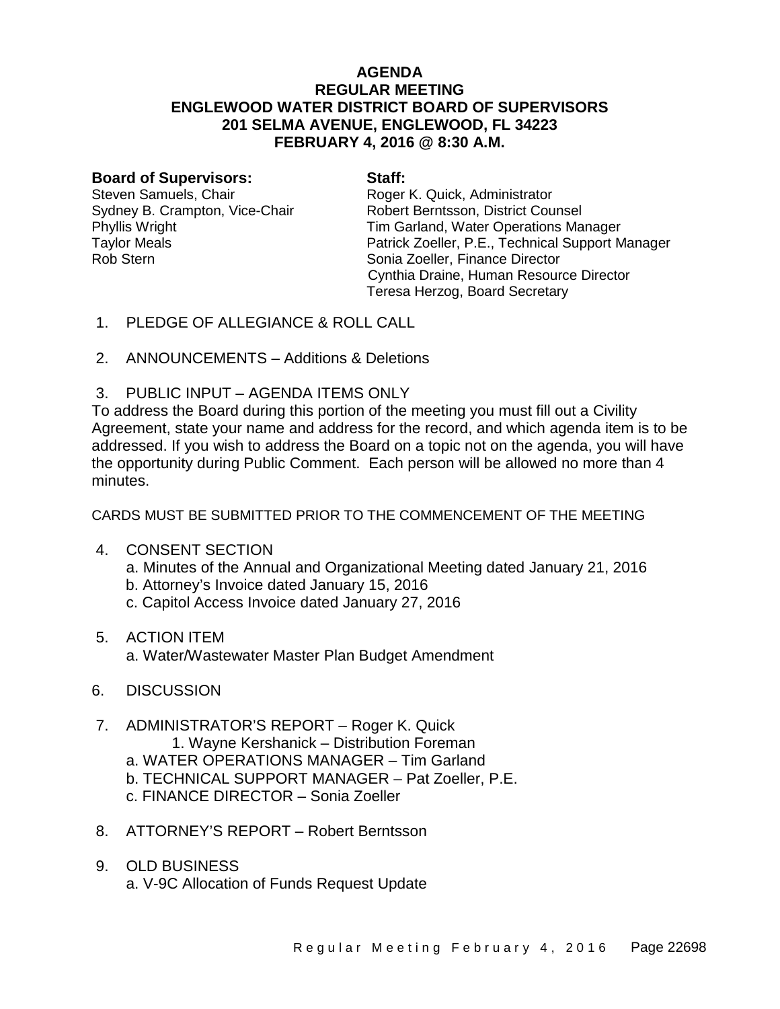# **AGENDA REGULAR MEETING ENGLEWOOD WATER DISTRICT BOARD OF SUPERVISORS 201 SELMA AVENUE, ENGLEWOOD, FL 34223 FEBRUARY 4, 2016 @ 8:30 A.M.**

#### **Board of Supervisors: Staff:**

Steven Samuels, Chair **Roger K. Quick, Administrator** Roger K. Quick, Administrator Rob Stern **Sonia Zoeller**, Finance Director

Sydney B. Crampton, Vice-Chair **Robert Berntsson, District Counsel** Phyllis Wright **Tim Garland, Water Operations Manager**<br>Taylor Meals **Taylor Meals** Patrick Zoeller, P.E., Technical Support M Patrick Zoeller, P.E., Technical Support Manager Cynthia Draine, Human Resource Director Teresa Herzog, Board Secretary

- 1. PLEDGE OF ALLEGIANCE & ROLL CALL
- 2. ANNOUNCEMENTS Additions & Deletions
- 3. PUBLIC INPUT AGENDA ITEMS ONLY

To address the Board during this portion of the meeting you must fill out a Civility Agreement, state your name and address for the record, and which agenda item is to be addressed. If you wish to address the Board on a topic not on the agenda, you will have the opportunity during Public Comment. Each person will be allowed no more than 4 minutes.

CARDS MUST BE SUBMITTED PRIOR TO THE COMMENCEMENT OF THE MEETING

- 4. CONSENT SECTION
	- a. Minutes of the Annual and Organizational Meeting dated January 21, 2016
	- b. Attorney's Invoice dated January 15, 2016
	- c. Capitol Access Invoice dated January 27, 2016
- 5. ACTION ITEM

a. Water/Wastewater Master Plan Budget Amendment

- 6. DISCUSSION
- 7. ADMINISTRATOR'S REPORT Roger K. Quick 1. Wayne Kershanick – Distribution Foreman a. WATER OPERATIONS MANAGER – Tim Garland b. TECHNICAL SUPPORT MANAGER – Pat Zoeller, P.E. c. FINANCE DIRECTOR – Sonia Zoeller
- 8. ATTORNEY'S REPORT Robert Berntsson
- 9. OLD BUSINESS a. V-9C Allocation of Funds Request Update